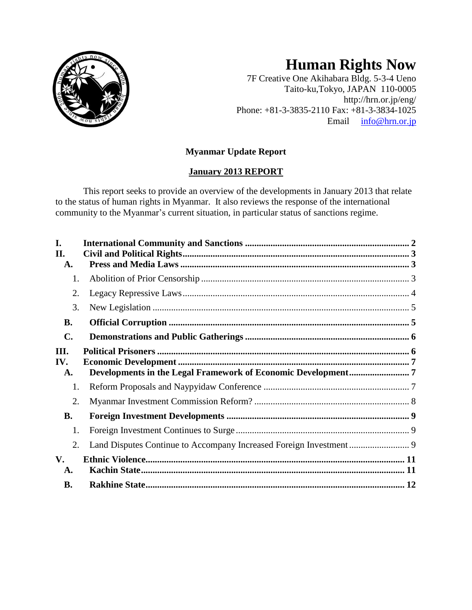

# **Human Rights Now**

7F Creative One Akihabara Bldg. 5-3-4 Ueno Taito-ku,Tokyo, JAPAN 110-0005 http://hrn.or.jp/eng/ Phone: +81-3-3835-2110 Fax: +81-3-3834-1025 Email [info@hrn.or.jp](mailto:info@hrn.or.jp)

# **Myanmar Update Report**

# **January 2013 REPORT**

This report seeks to provide an overview of the developments in January 2013 that relate to the status of human rights in Myanmar. It also reviews the response of the international community to the Myanmar's current situation, in particular status of sanctions regime.

| I.<br>II.<br>A.     |  |
|---------------------|--|
| 1.                  |  |
| 2.                  |  |
| 3.                  |  |
| <b>B.</b>           |  |
| C.                  |  |
| III.<br>IV.<br>A.   |  |
| 1.                  |  |
| 2.                  |  |
| <b>B.</b>           |  |
| 1.                  |  |
| 2.                  |  |
| $V_{\bullet}$<br>A. |  |
| <b>B.</b>           |  |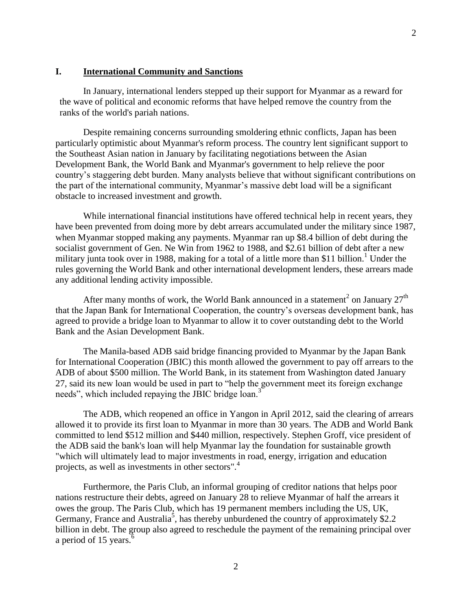#### <span id="page-1-0"></span>**I. International Community and Sanctions**

In January, international lenders stepped up their support for Myanmar as a reward for the wave of political and economic reforms that have helped remove the country from the ranks of the world's pariah nations.

Despite remaining concerns surrounding smoldering ethnic conflicts, Japan has been particularly optimistic about Myanmar's reform process. The country lent significant support to the Southeast Asian nation in January by facilitating negotiations between the Asian Development Bank, the World Bank and Myanmar's government to help relieve the poor country's staggering debt burden. Many analysts believe that without significant contributions on the part of the international community, Myanmar's massive debt load will be a significant obstacle to increased investment and growth.

While international financial institutions have offered technical help in recent years, they have been prevented from doing more by debt arrears accumulated under the military since 1987, when Myanmar stopped making any payments. Myanmar ran up \$8.4 billion of debt during the socialist government of Gen. Ne Win from 1962 to 1988, and \$2.61 billion of debt after a new military junta took over in 1988, making for a total of a little more than \$11 billion.<sup>1</sup> Under the rules governing the World Bank and other international development lenders, these arrears made any additional lending activity impossible.

After many months of work, the [World Bank](http://topics.nytimes.com/top/reference/timestopics/organizations/w/world_bank/index.html?inline=nyt-org) announced in a statement<sup>2</sup> on January 27<sup>th</sup> that the Japan Bank for International Cooperation, the country's overseas development bank, has agreed to provide a bridge loan to Myanmar to allow it to cover outstanding debt to the World Bank and the Asian Development Bank.

The Manila-based ADB said bridge financing provided to Myanmar by the Japan Bank for International Cooperation (JBIC) this month allowed the government to pay off arrears to the ADB of about \$500 million. The World Bank, in its statement from Washington dated January 27, said its new loan would be used in part to "help the government meet its foreign exchange needs", which included repaying the JBIC bridge loan.<sup>3</sup>

The ADB, which reopened an office in Yangon in April 2012, said the clearing of arrears allowed it to provide its first loan to Myanmar in more than 30 years. The ADB and World Bank committed to lend \$512 million and \$440 million, respectively. Stephen Groff, vice president of the ADB said the bank's loan will help Myanmar lay the foundation for sustainable growth "which will ultimately lead to major investments in road, energy, irrigation and education projects, as well as investments in other sectors".<sup>4</sup>

Furthermore, the Paris Club, an informal grouping of creditor nations that helps poor nations restructure their debts, agreed on January 28 to relieve Myanmar of half the arrears it owes the group. The Paris Club, which has 19 permanent members including the US, UK, Germany, France and Australia<sup>5</sup>, has thereby unburdened the country of approximately \$2.2 billion in debt. The group also agreed to reschedule the payment of the remaining principal over a period of 15 years.<sup>6</sup>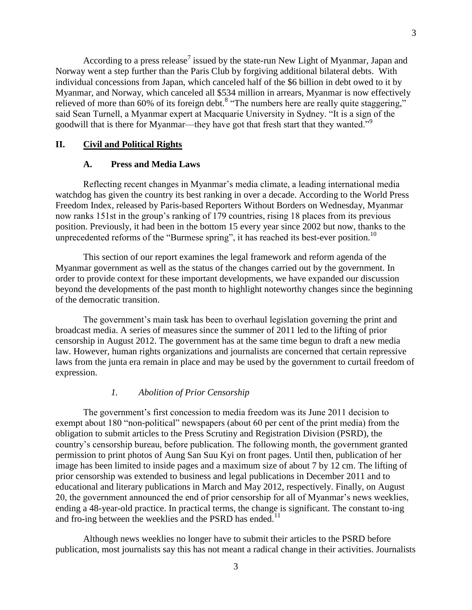According to a press release<sup>7</sup> issued by the state-run New Light of Myanmar, Japan and Norway went a step further than the Paris Club by forgiving additional bilateral debts. With individual concessions from Japan, which canceled half of the \$6 billion in debt owed to it by Myanmar, and Norway, which canceled all \$534 million in arrears, Myanmar is now effectively relieved of more than 60% of its foreign debt.<sup>8</sup> "The numbers here are really quite staggering," said Sean Turnell, a Myanmar expert at Macquarie University in Sydney. "It is a sign of the goodwill that is there for Myanmar—they have got that fresh start that they wanted."<sup>9</sup>

## <span id="page-2-1"></span><span id="page-2-0"></span>**II. Civil and Political Rights**

### **A. Press and Media Laws**

Reflecting recent changes in Myanmar's media climate, a leading international media watchdog has given the country its best ranking in over a decade. According to the World Press Freedom Index, released by Paris-based Reporters Without Borders on Wednesday, Myanmar now ranks 151st in the group's ranking of 179 countries, rising 18 places from its previous position. Previously, it had been in the bottom 15 every year since 2002 but now, thanks to the unprecedented reforms of the "Burmese spring", it has reached its best-ever position.<sup>10</sup>

This section of our report examines the legal framework and reform agenda of the Myanmar government as well as the status of the changes carried out by the government. In order to provide context for these important developments, we have expanded our discussion beyond the developments of the past month to highlight noteworthy changes since the beginning of the democratic transition.

The government's main task has been to overhaul legislation governing the print and broadcast media. A series of measures since the summer of 2011 led to the lifting of prior censorship in August 2012. The government has at the same time begun to draft a new media law. However, human rights organizations and journalists are concerned that certain repressive laws from the junta era remain in place and may be used by the government to curtail freedom of expression.

# *1. Abolition of Prior Censorship*

<span id="page-2-2"></span>The government's first concession to media freedom was its June 2011 decision to exempt about 180 "non-political" newspapers (about 60 per cent of the print media) from the obligation to submit articles to the Press Scrutiny and Registration Division (PSRD), the country's censorship bureau, before publication. The following month, the government granted permission to print photos of Aung San Suu Kyi on front pages. Until then, publication of her image has been limited to inside pages and a maximum size of about 7 by 12 cm. The lifting of prior censorship was extended to business and legal publications in December 2011 and to educational and literary publications in March and May 2012, respectively. Finally, on August 20, the government announced the end of prior censorship for all of Myanmar's news weeklies, ending a 48-year-old practice. In practical terms, the change is significant. The constant to-ing and fro-ing between the weeklies and the PSRD has ended.<sup>11</sup>

Although news weeklies no longer have to submit their articles to the PSRD before publication, most journalists say this has not meant a radical change in their activities. Journalists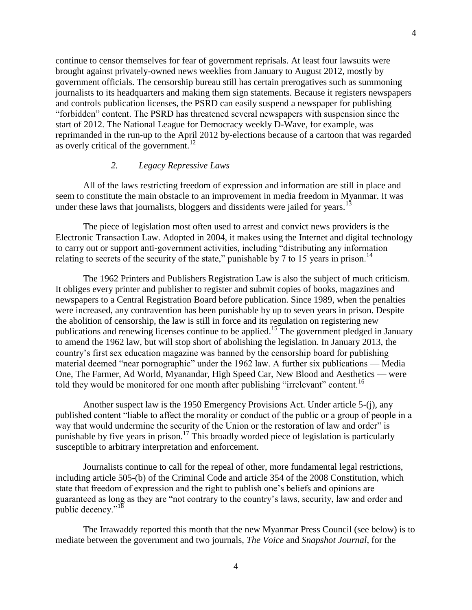continue to censor themselves for fear of government reprisals. At least four lawsuits were brought against privately-owned news weeklies from January to August 2012, mostly by government officials. The censorship bureau still has certain prerogatives such as summoning journalists to its headquarters and making them sign statements. Because it registers newspapers and controls publication licenses, the PSRD can easily suspend a newspaper for publishing "forbidden" content. The PSRD has threatened several newspapers with suspension since the start of 2012. The National League for Democracy weekly D-Wave, for example, was reprimanded in the run-up to the April 2012 by-elections because of a cartoon that was regarded as overly critical of the government.<sup>12</sup>

# *2. Legacy Repressive Laws*

<span id="page-3-0"></span>All of the laws restricting freedom of expression and information are still in place and seem to constitute the main obstacle to an improvement in media freedom in Myanmar. It was under these laws that journalists, bloggers and dissidents were jailed for years.<sup>13</sup>

The piece of legislation most often used to arrest and convict news providers is the Electronic Transaction Law. Adopted in 2004, it makes using the Internet and digital technology to carry out or support anti-government activities, including "distributing any information relating to secrets of the security of the state," punishable by 7 to 15 years in prison.<sup>14</sup>

The 1962 Printers and Publishers Registration Law is also the subject of much criticism. It obliges every printer and publisher to register and submit copies of books, magazines and newspapers to a Central Registration Board before publication. Since 1989, when the penalties were increased, any contravention has been punishable by up to seven years in prison. Despite the abolition of censorship, the law is still in force and its regulation on registering new publications and renewing licenses continue to be applied.<sup>15</sup> The government pledged in January to amend the 1962 law, but will stop short of abolishing the legislation. In January 2013, the country's first sex education magazine was banned by the censorship board for publishing material deemed "near pornographic" under the 1962 law. A further six publications — Media One, The Farmer, Ad World, Myanandar, High Speed Car, New Blood and Aesthetics — were told they would be monitored for one month after publishing "irrelevant" content.<sup>16</sup>

Another suspect law is the 1950 Emergency Provisions Act. Under article 5-(j), any published content "liable to affect the morality or conduct of the public or a group of people in a way that would undermine the security of the Union or the restoration of law and order" is punishable by five years in prison.<sup>17</sup> This broadly worded piece of legislation is particularly susceptible to arbitrary interpretation and enforcement.

Journalists continue to call for the repeal of other, more fundamental legal restrictions, including article 505-(b) of the Criminal Code and article 354 of the 2008 Constitution, which state that freedom of expression and the right to publish one's beliefs and opinions are guaranteed as long as they are "not contrary to the country's laws, security, law and order and public decency."<sup>18</sup>

The Irrawaddy reported this month that the new Myanmar Press Council (see below) is to mediate between the government and two journals, *The Voice* and *Snapshot Journal*, for the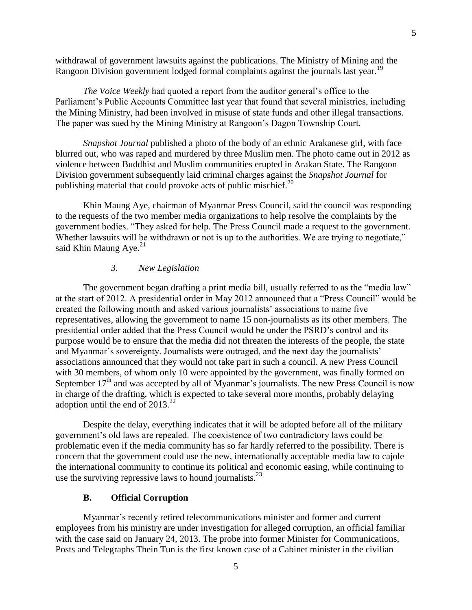withdrawal of government lawsuits against the publications. The Ministry of Mining and the Rangoon Division government lodged formal complaints against the journals last year.<sup>19</sup>

*The Voice Weekly* had quoted a report from the auditor general's office to the Parliament's Public Accounts Committee last year that found that several ministries, including the Mining Ministry, had been involved in misuse of state funds and other illegal transactions. The paper was sued by the Mining Ministry at Rangoon's Dagon Township Court.

*Snapshot Journal* published a photo of the body of an ethnic Arakanese girl, with face blurred out, who was raped and murdered by three Muslim men. The photo came out in 2012 as violence between Buddhist and Muslim communities erupted in Arakan State. The Rangoon Division government subsequently laid criminal charges against the *Snapshot Journal* for publishing material that could provoke acts of public mischief. $^{20}$ 

Khin Maung Aye, chairman of Myanmar Press Council, said the council was responding to the requests of the two member media organizations to help resolve the complaints by the government bodies. "They asked for help. The Press Council made a request to the government. Whether lawsuits will be withdrawn or not is up to the authorities. We are trying to negotiate," said Khin Maung Aye. $21$ 

# *3. New Legislation*

<span id="page-4-0"></span>The government began drafting a print media bill, usually referred to as the "media law" at the start of 2012. A presidential order in May 2012 announced that a "Press Council" would be created the following month and asked various journalists' associations to name five representatives, allowing the government to name 15 non-journalists as its other members. The presidential order added that the Press Council would be under the PSRD's control and its purpose would be to ensure that the media did not threaten the interests of the people, the state and Myanmar's sovereignty. Journalists were outraged, and the next day the journalists' associations announced that they would not take part in such a council. A new Press Council with 30 members, of whom only 10 were appointed by the government, was finally formed on September  $17<sup>th</sup>$  and was accepted by all of Myanmar's journalists. The new Press Council is now in charge of the drafting, which is expected to take several more months, probably delaying adoption until the end of  $2013.<sup>22</sup>$ 

Despite the delay, everything indicates that it will be adopted before all of the military government's old laws are repealed. The coexistence of two contradictory laws could be problematic even if the media community has so far hardly referred to the possibility. There is concern that the government could use the new, internationally acceptable media law to cajole the international community to continue its political and economic easing, while continuing to use the surviving repressive laws to hound journalists.<sup>23</sup>

#### **B. Official Corruption**

<span id="page-4-1"></span>Myanmar's recently retired telecommunications minister and former and current employees from his ministry are under investigation for alleged corruption, an official familiar with the case said on January 24, 2013. The probe into former Minister for Communications, Posts and Telegraphs Thein Tun is the first known case of a Cabinet minister in the civilian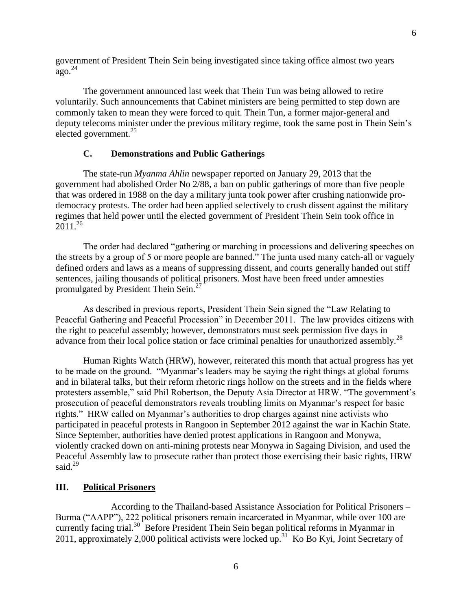government of President Thein Sein being investigated since taking office almost two years  $q$ go.<sup>24</sup>

The government announced last week that Thein Tun was being allowed to retire voluntarily. Such announcements that Cabinet ministers are being permitted to step down are commonly taken to mean they were forced to quit. Thein Tun, a former major-general and deputy telecoms minister under the previous military regime, took the same post in Thein Sein's elected government. $^{25}$ 

# **C. Demonstrations and Public Gatherings**

<span id="page-5-0"></span>The state-run *Myanma Ahlin* newspaper reported on January 29, 2013 that the government had abolished Order No 2/88, a ban on public gatherings of more than five people that was ordered in 1988 on the day a military junta took power after crushing nationwide prodemocracy protests. The order had been applied selectively to crush dissent against the military regimes that held power until the elected government of President Thein Sein took office in  $2011^{26}$ 

The order had declared "gathering or marching in processions and delivering speeches on the streets by a group of 5 or more people are banned." The junta used many catch-all or vaguely defined orders and laws as a means of suppressing dissent, and courts generally handed out stiff sentences, jailing thousands of political prisoners. Most have been freed under amnesties promulgated by President Thein Sein.<sup>27</sup>

As described in previous reports, President Thein Sein signed the "Law Relating to Peaceful Gathering and Peaceful Procession" in December 2011. The law provides citizens with the right to peaceful assembly; however, demonstrators must seek permission five days in advance from their local police station or face criminal penalties for unauthorized assembly.<sup>28</sup>

Human Rights Watch (HRW), however, reiterated this month that actual progress has yet to be made on the ground. "Myanmar's leaders may be saying the right things at global forums and in bilateral talks, but their reform rhetoric rings hollow on the streets and in the fields where protesters assemble," said Phil Robertson, the Deputy Asia Director at HRW. "The government's prosecution of peaceful demonstrators reveals troubling limits on Myanmar's respect for basic rights." HRW called on Myanmar's authorities to drop charges against nine activists who participated in peaceful protests in Rangoon in September 2012 against the war in Kachin State. Since September, authorities have denied protest applications in Rangoon and Monywa, violently cracked down on anti-mining protests near Monywa in Sagaing Division, and used the Peaceful Assembly law to prosecute rather than protect those exercising their basic rights, HRW said.<sup>29</sup>

#### <span id="page-5-1"></span>**III. Political Prisoners**

According to the Thailand-based Assistance Association for Political Prisoners – Burma ("AAPP"), 222 political prisoners remain incarcerated in Myanmar, while over 100 are currently facing trial.<sup>30</sup> Before President Thein Sein began political reforms in Myanmar in 2011, approximately 2,000 political activists were locked up.<sup>31</sup> Ko Bo Kyi, Joint Secretary of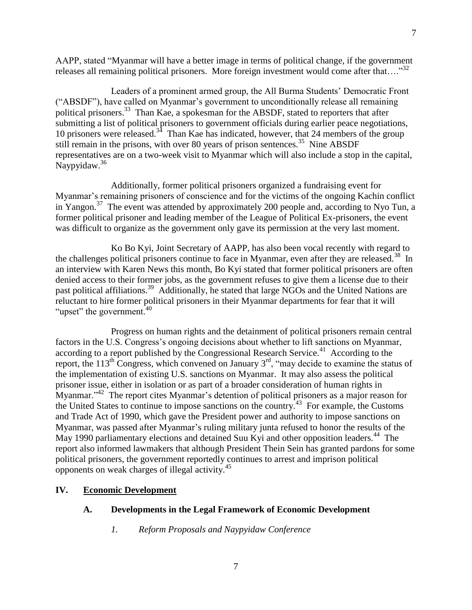AAPP, stated "Myanmar will have a better image in terms of political change, if the government releases all remaining political prisoners. More foreign investment would come after that...."<sup>32</sup>

Leaders of a prominent armed group, the All Burma Students' Democratic Front ("ABSDF"), have called on Myanmar's government to unconditionally release all remaining political prisoners.<sup>33</sup> Than Kae, a spokesman for the ABSDF, stated to reporters that after submitting a list of political prisoners to government officials during earlier peace negotiations, 10 prisoners were released.<sup>34</sup> Than Kae has indicated, however, that 24 members of the group still remain in the prisons, with over 80 years of prison sentences.<sup>35</sup> Nine ABSDF representatives are on a two-week visit to Myanmar which will also include a stop in the capital, Naypyidaw.<sup>36</sup>

Additionally, former political prisoners organized a fundraising event for Myanmar's remaining prisoners of conscience and for the victims of the ongoing Kachin conflict in Yangon.<sup>37</sup> The event was attended by approximately 200 people and, according to Nyo Tun, a former political prisoner and leading member of the League of Political Ex-prisoners, the event was difficult to organize as the government only gave its permission at the very last moment.

Ko Bo Kyi, Joint Secretary of AAPP, has also been vocal recently with regard to the challenges political prisoners continue to face in Myanmar, even after they are released.<sup>38</sup> In an interview with Karen News this month, Bo Kyi stated that former political prisoners are often denied access to their former jobs, as the government refuses to give them a license due to their past political affiliations.<sup>39</sup> Additionally, he stated that large NGOs and the United Nations are reluctant to hire former political prisoners in their Myanmar departments for fear that it will "upset" the government. $40$ 

Progress on human rights and the detainment of political prisoners remain central factors in the U.S. Congress's ongoing decisions about whether to lift sanctions on Myanmar, according to a report published by the Congressional Research Service.<sup>41</sup> According to the report, the 113<sup>th</sup> Congress, which convened on January  $3^{rd}$ , "may decide to examine the status of the implementation of existing U.S. sanctions on Myanmar. It may also assess the political prisoner issue, either in isolation or as part of a broader consideration of human rights in Myanmar."<sup>42</sup> The report cites Myanmar's detention of political prisoners as a major reason for the United States to continue to impose sanctions on the country.<sup>43</sup> For example, the Customs and Trade Act of 1990, which gave the President power and authority to impose sanctions on Myanmar, was passed after Myanmar's ruling military junta refused to honor the results of the May 1990 parliamentary elections and detained Suu Kyi and other opposition leaders.<sup>44</sup> The report also informed lawmakers that although President Thein Sein has granted pardons for some political prisoners, the government reportedly continues to arrest and imprison political opponents on weak charges of illegal activity.<sup>45</sup>

#### <span id="page-6-1"></span><span id="page-6-0"></span>**IV. Economic Development**

# <span id="page-6-2"></span>**A. Developments in the Legal Framework of Economic Development**

*1. Reform Proposals and Naypyidaw Conference*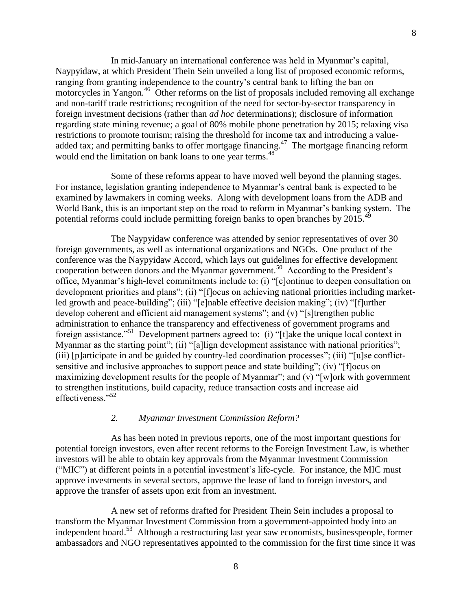In mid-January an international conference was held in Myanmar's capital, Naypyidaw, at which President Thein Sein unveiled a long list of proposed economic reforms, ranging from granting independence to the country's central bank to lifting the ban on motorcycles in Yangon.<sup>46</sup> Other reforms on the list of proposals included removing all exchange and non-tariff trade restrictions; recognition of the need for sector-by-sector transparency in foreign investment decisions (rather than *ad hoc* determinations); disclosure of information regarding state mining revenue; a goal of 80% mobile phone penetration by 2015; relaxing visa restrictions to promote tourism; raising the threshold for income tax and introducing a valueadded tax; and permitting banks to offer mortgage financing.<sup>47</sup> The mortgage financing reform would end the limitation on bank loans to one year terms.<sup>48</sup>

Some of these reforms appear to have moved well beyond the planning stages. For instance, legislation granting independence to Myanmar's central bank is expected to be examined by lawmakers in coming weeks. Along with development loans from the ADB and World Bank, this is an important step on the road to reform in Myanmar's banking system. The potential reforms could include permitting foreign banks to open branches by 2015.<sup>49</sup>

The Naypyidaw conference was attended by senior representatives of over 30 foreign governments, as well as international organizations and NGOs. One product of the conference was the Naypyidaw Accord, which lays out guidelines for effective development cooperation between donors and the Myanmar government.<sup>50</sup> According to the President's office, Myanmar's high-level commitments include to: (i) "[c]ontinue to deepen consultation on development priorities and plans"; (ii) "[f]ocus on achieving national priorities including marketled growth and peace-building"; (iii) "[e]nable effective decision making"; (iv) "[f]urther develop coherent and efficient aid management systems"; and (v) "[s]trengthen public administration to enhance the transparency and effectiveness of government programs and foreign assistance."<sup>51</sup> Development partners agreed to: (i) "[t]ake the unique local context in Myanmar as the starting point"; (ii) "[a]lign development assistance with national priorities"; (iii) [p]articipate in and be guided by country-led coordination processes"; (iii) "[u]se conflictsensitive and inclusive approaches to support peace and state building"; (iv) "[f]ocus on maximizing development results for the people of Myanmar"; and (v) "[w]ork with government to strengthen institutions, build capacity, reduce transaction costs and increase aid effectiveness."<sup>52</sup>

#### *2. Myanmar Investment Commission Reform?*

<span id="page-7-0"></span>As has been noted in previous reports, one of the most important questions for potential foreign investors, even after recent reforms to the Foreign Investment Law, is whether investors will be able to obtain key approvals from the Myanmar Investment Commission ("MIC") at different points in a potential investment's life-cycle. For instance, the MIC must approve investments in several sectors, approve the lease of land to foreign investors, and approve the transfer of assets upon exit from an investment.

A new set of reforms drafted for President Thein Sein includes a proposal to transform the Myanmar Investment Commission from a government-appointed body into an independent board.<sup>53</sup> Although a restructuring last year saw economists, businesspeople, former ambassadors and NGO representatives appointed to the commission for the first time since it was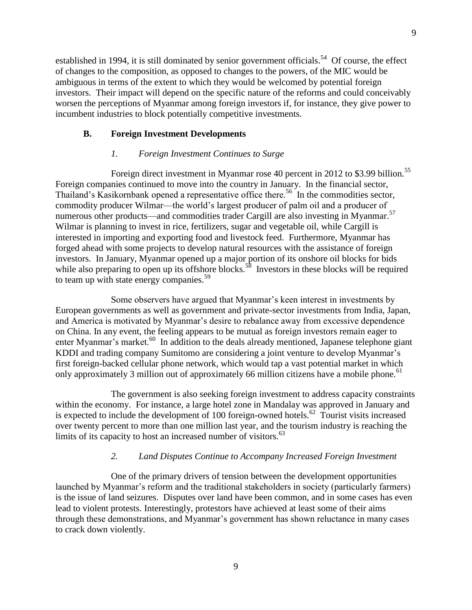established in 1994, it is still dominated by senior government officials.<sup>54</sup> Of course, the effect of changes to the composition, as opposed to changes to the powers, of the MIC would be ambiguous in terms of the extent to which they would be welcomed by potential foreign investors. Their impact will depend on the specific nature of the reforms and could conceivably worsen the perceptions of Myanmar among foreign investors if, for instance, they give power to incumbent industries to block potentially competitive investments.

# <span id="page-8-0"></span>**B. Foreign Investment Developments**

# *1. Foreign Investment Continues to Surge*

<span id="page-8-1"></span>Foreign direct investment in Myanmar rose 40 percent in 2012 to \$3.99 billion.<sup>55</sup> Foreign companies continued to move into the country in January. In the financial sector, Thailand's Kasikornbank opened a representative office there.<sup>56</sup> In the commodities sector, commodity producer Wilmar—the world's largest producer of palm oil and a producer of numerous other products—and commodities trader Cargill are also investing in Myanmar.<sup>57</sup> Wilmar is planning to invest in rice, fertilizers, sugar and vegetable oil, while Cargill is interested in importing and exporting food and livestock feed. Furthermore, Myanmar has forged ahead with some projects to develop natural resources with the assistance of foreign investors. In January, Myanmar opened up a major portion of its onshore oil blocks for bids while also preparing to open up its offshore blocks.<sup>58</sup> Investors in these blocks will be required to team up with state energy companies.<sup>59</sup>

Some observers have argued that Myanmar's keen interest in investments by European governments as well as government and private-sector investments from India, Japan, and America is motivated by Myanmar's desire to rebalance away from excessive dependence on China. In any event, the feeling appears to be mutual as foreign investors remain eager to enter Myanmar's market.<sup>60</sup> In addition to the deals already mentioned, Japanese telephone giant KDDI and trading company Sumitomo are considering a joint venture to develop Myanmar's first foreign-backed cellular phone network, which would tap a vast potential market in which only approximately 3 million out of approximately 66 million citizens have a mobile phone.<sup>61</sup>

The government is also seeking foreign investment to address capacity constraints within the economy. For instance, a large hotel zone in Mandalay was approved in January and is expected to include the development of 100 foreign-owned hotels. $62$  Tourist visits increased over twenty percent to more than one million last year, and the tourism industry is reaching the limits of its capacity to host an increased number of visitors.<sup>63</sup>

### *2. Land Disputes Continue to Accompany Increased Foreign Investment*

<span id="page-8-2"></span>One of the primary drivers of tension between the development opportunities launched by Myanmar's reform and the traditional stakeholders in society (particularly farmers) is the issue of land seizures. Disputes over land have been common, and in some cases has even lead to violent protests. Interestingly, protestors have achieved at least some of their aims through these demonstrations, and Myanmar's government has shown reluctance in many cases to crack down violently.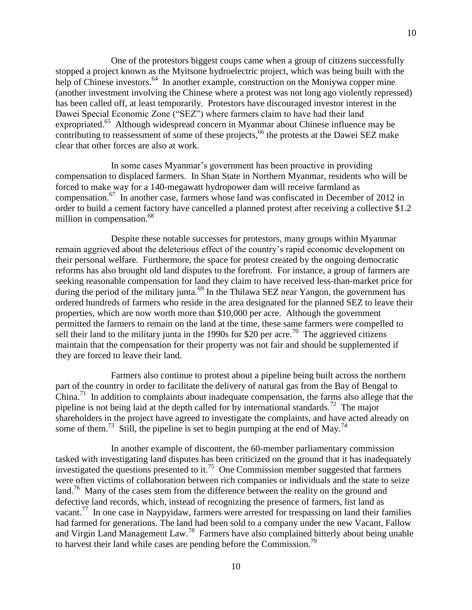One of the protestors biggest coups came when a group of citizens successfully stopped a project known as the Myitsone hydroelectric project, which was being built with the help of Chinese investors.<sup>64</sup> In another example, construction on the Moniywa copper mine (another investment involving the Chinese where a protest was not long ago violently repressed) has been called off, at least temporarily. Protestors have discouraged investor interest in the Dawei Special Economic Zone ("SEZ") where farmers claim to have had their land expropriated.<sup>65</sup> Although widespread concern in Myanmar about Chinese influence may be contributing to reassessment of some of these projects,<sup>66</sup> the protests at the Dawei SEZ make clear that other forces are also at work.

10

In some cases Myanmar's government has been proactive in providing compensation to displaced farmers. In Shan State in Northern Myanmar, residents who will be forced to make way for a 140-megawatt hydropower dam will receive farmland as compensation.<sup>67</sup> In another case, farmers whose land was confiscated in December of 2012 in order to build a cement factory have cancelled a planned protest after receiving a collective \$1.2 million in compensation.<sup>68</sup>

Despite these notable successes for protestors, many groups within Myanmar remain aggrieved about the deleterious effect of the country's rapid economic development on their personal welfare. Furthermore, the space for protest created by the ongoing democratic reforms has also brought old land disputes to the forefront. For instance, a group of farmers are seeking reasonable compensation for land they claim to have received less-than-market price for during the period of the military junta.<sup>69</sup> In the Thilawa SEZ near Yangon, the government has ordered hundreds of farmers who reside in the area designated for the planned SEZ to leave their properties, which are now worth more than \$10,000 per acre. Although the government permitted the farmers to remain on the land at the time, these same farmers were compelled to sell their land to the military junta in the 1990s for \$20 per acre.<sup>70</sup> The aggrieved citizens maintain that the compensation for their property was not fair and should be supplemented if they are forced to leave their land.

Farmers also continue to protest about a pipeline being built across the northern part of the country in order to facilitate the delivery of natural gas from the Bay of Bengal to China.<sup>71</sup> In addition to complaints about inadequate compensation, the farms also allege that the pipeline is not being laid at the depth called for by international standards.<sup>72</sup> The major shareholders in the project have agreed to investigate the complaints, and have acted already on some of them.<sup>73</sup> Still, the pipeline is set to begin pumping at the end of May.<sup>74</sup>

In another example of discontent, the 60-member parliamentary commission tasked with investigating land disputes has been criticized on the ground that it has inadequately investigated the questions presented to it.<sup>75</sup> One Commission member suggested that farmers were often victims of collaboration between rich companies or individuals and the state to seize land.<sup>76</sup> Many of the cases stem from the difference between the reality on the ground and defective land records, which, instead of recognizing the presence of farmers, list land as vacant.<sup>77</sup> In one case in Naypyidaw, farmers were arrested for trespassing on land their families had farmed for generations. The land had been sold to a company under the new Vacant, Fallow and Virgin Land Management Law.<sup>78</sup> Farmers have also complained bitterly about being unable to harvest their land while cases are pending before the Commission.<sup>79</sup>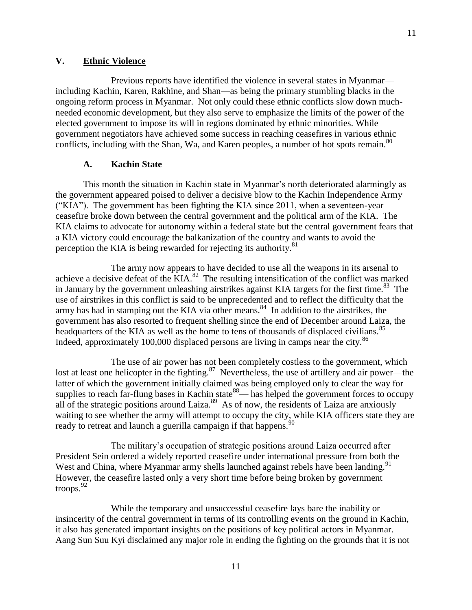# <span id="page-10-0"></span>**V. Ethnic Violence**

Previous reports have identified the violence in several states in Myanmar including Kachin, Karen, Rakhine, and Shan—as being the primary stumbling blacks in the ongoing reform process in Myanmar. Not only could these ethnic conflicts slow down muchneeded economic development, but they also serve to emphasize the limits of the power of the elected government to impose its will in regions dominated by ethnic minorities. While government negotiators have achieved some success in reaching ceasefires in various ethnic conflicts, including with the Shan, Wa, and Karen peoples, a number of hot spots remain. $80$ 

# **A. Kachin State**

<span id="page-10-1"></span>This month the situation in Kachin state in Myanmar's north deteriorated alarmingly as the government appeared poised to deliver a decisive blow to the Kachin Independence Army ("KIA"). The government has been fighting the KIA since 2011, when a seventeen-year ceasefire broke down between the central government and the political arm of the KIA. The KIA claims to advocate for autonomy within a federal state but the central government fears that a KIA victory could encourage the balkanization of the country and wants to avoid the perception the KIA is being rewarded for rejecting its authority.<sup>81</sup>

The army now appears to have decided to use all the weapons in its arsenal to achieve a decisive defeat of the  $KIA$ .<sup>82</sup> The resulting intensification of the conflict was marked in January by the government unleashing airstrikes against KIA targets for the first time.<sup>83</sup> The use of airstrikes in this conflict is said to be unprecedented and to reflect the difficulty that the army has had in stamping out the KIA via other means.<sup>84</sup> In addition to the airstrikes, the government has also resorted to frequent shelling since the end of December around Laiza, the headquarters of the KIA as well as the home to tens of thousands of displaced civilians.<sup>85</sup> Indeed, approximately 100,000 displaced persons are living in camps near the city.<sup>86</sup>

The use of air power has not been completely costless to the government, which lost at least one helicopter in the fighting. $87$  Nevertheless, the use of artillery and air power—the latter of which the government initially claimed was being employed only to clear the way for supplies to reach far-flung bases in Kachin state  $88$ — has helped the government forces to occupy all of the strategic positions around Laiza.<sup>89</sup> As of now, the residents of Laiza are anxiously waiting to see whether the army will attempt to occupy the city, while KIA officers state they are ready to retreat and launch a guerilla campaign if that happens.<sup>90</sup>

The military's occupation of strategic positions around Laiza occurred after President Sein ordered a widely reported ceasefire under international pressure from both the West and China, where Myanmar army shells launched against rebels have been landing.<sup>91</sup> However, the ceasefire lasted only a very short time before being broken by government troops.<sup>92</sup>

While the temporary and unsuccessful ceasefire lays bare the inability or insincerity of the central government in terms of its controlling events on the ground in Kachin, it also has generated important insights on the positions of key political actors in Myanmar. Aang Sun Suu Kyi disclaimed any major role in ending the fighting on the grounds that it is not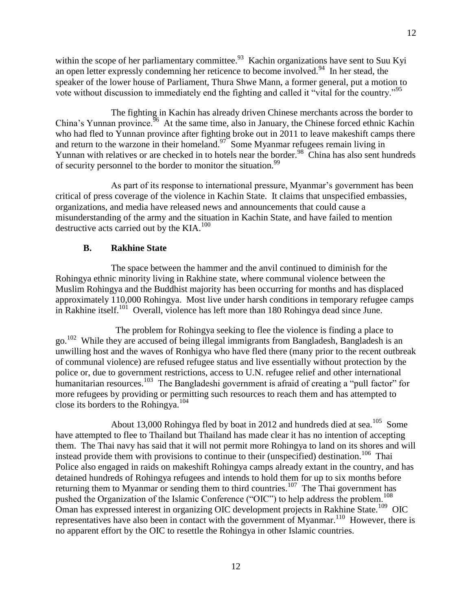within the scope of her parliamentary committee.<sup>93</sup> Kachin organizations have sent to Suu Kyi an open letter expressly condemning her reticence to become involved. <sup>94</sup> In her stead, the speaker of the lower house of Parliament, Thura Shwe Mann, a former general, put a motion to vote without discussion to immediately end the fighting and called it "vital for the country."<sup>95</sup>

The fighting in Kachin has already driven Chinese merchants across the border to China's Yunnan province.  $\frac{96}{6}$  At the same time, also in January, the Chinese forced ethnic Kachin who had fled to Yunnan province after fighting broke out in 2011 to leave makeshift camps there and return to the warzone in their homeland. $27$  Some Myanmar refugees remain living in Yunnan with relatives or are checked in to hotels near the border.<sup>98</sup> China has also sent hundreds of security personnel to the border to monitor the situation.<sup>99</sup>

As part of its response to international pressure, Myanmar's government has been critical of press coverage of the violence in Kachin State. It claims that unspecified embassies, organizations, and media have released news and announcements that could cause a misunderstanding of the army and the situation in Kachin State, and have failed to mention destructive acts carried out by the KIA.<sup>100</sup>

# **B. Rakhine State**

<span id="page-11-0"></span>The space between the hammer and the anvil continued to diminish for the Rohingya ethnic minority living in Rakhine state, where communal violence between the Muslim Rohingya and the Buddhist majority has been occurring for months and has displaced approximately 110,000 Rohingya. Most live under harsh conditions in temporary refugee camps in Rakhine itself.<sup>101</sup> Overall, violence has left more than 180 Rohingya dead since June.

 The problem for Rohingya seeking to flee the violence is finding a place to go.<sup>102</sup> While they are accused of being illegal immigrants from Bangladesh, Bangladesh is an unwilling host and the waves of Ronhigya who have fled there (many prior to the recent outbreak of communal violence) are refused refugee status and live essentially without protection by the police or, due to government restrictions, access to U.N. refugee relief and other international humanitarian resources.<sup>103</sup> The Bangladeshi government is afraid of creating a "pull factor" for more refugees by providing or permitting such resources to reach them and has attempted to close its borders to the Rohingya. $104$ 

About 13,000 Rohingya fled by boat in 2012 and hundreds died at sea.<sup>105</sup> Some have attempted to flee to Thailand but Thailand has made clear it has no intention of accepting them. The Thai navy has said that it will not permit more Rohingya to land on its shores and will instead provide them with provisions to continue to their (unspecified) destination.<sup>106</sup> Thai Police also engaged in raids on makeshift Rohingya camps already extant in the country, and has detained hundreds of Rohingya refugees and intends to hold them for up to six months before returning them to Myanmar or sending them to third countries.<sup>107</sup> The Thai government has pushed the Organization of the Islamic Conference ("OIC") to help address the problem.<sup>108</sup> Oman has expressed interest in organizing OIC development projects in Rakhine State.<sup>109</sup> OIC representatives have also been in contact with the government of Myanmar.<sup>110</sup> However, there is no apparent effort by the OIC to resettle the Rohingya in other Islamic countries.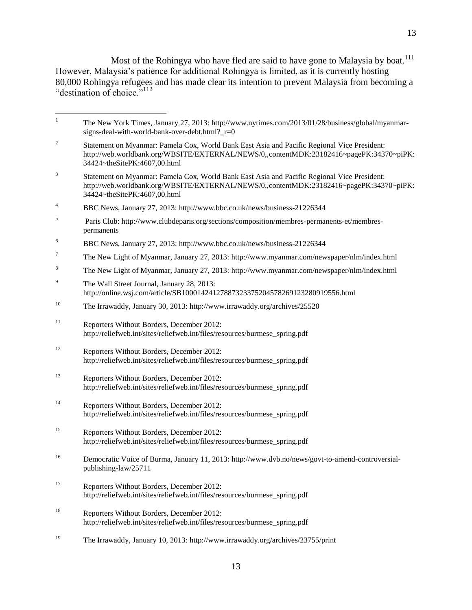Most of the Rohingya who have fled are said to have gone to Malaysia by boat.<sup>111</sup> However, Malaysia's patience for additional Rohingya is limited, as it is currently hosting 80,000 Rohingya refugees and has made clear its intention to prevent Malaysia from becoming a "destination of choice."<sup>112</sup>

| $\mathbf{1}$   | The New York Times, January 27, 2013: http://www.nytimes.com/2013/01/28/business/global/myanmar-<br>signs-deal-with-world-bank-over-debt.html?_r=0                                                                     |
|----------------|------------------------------------------------------------------------------------------------------------------------------------------------------------------------------------------------------------------------|
| $\overline{c}$ | Statement on Myanmar: Pamela Cox, World Bank East Asia and Pacific Regional Vice President:<br>http://web.worldbank.org/WBSITE/EXTERNAL/NEWS/0,,contentMDK:23182416~pagePK:34370~piPK:<br>34424~theSitePK:4607,00.html |
| 3              | Statement on Myanmar: Pamela Cox, World Bank East Asia and Pacific Regional Vice President:<br>http://web.worldbank.org/WBSITE/EXTERNAL/NEWS/0,,contentMDK:23182416~pagePK:34370~piPK:<br>34424~theSitePK:4607,00.html |
| $\overline{4}$ | BBC News, January 27, 2013: http://www.bbc.co.uk/news/business-21226344                                                                                                                                                |
| 5              | Paris Club: http://www.clubdeparis.org/sections/composition/membres-permanents-et/membres-<br>permanents                                                                                                               |
| 6              | BBC News, January 27, 2013: http://www.bbc.co.uk/news/business-21226344                                                                                                                                                |
| 7              | The New Light of Myanmar, January 27, 2013: http://www.myanmar.com/newspaper/nlm/index.html                                                                                                                            |
| 8              | The New Light of Myanmar, January 27, 2013: http://www.myanmar.com/newspaper/nlm/index.html                                                                                                                            |
| 9              | The Wall Street Journal, January 28, 2013:<br>http://online.wsj.com/article/SB10001424127887323375204578269123280919556.html                                                                                           |
| 10             | The Irrawaddy, January 30, 2013: http://www.irrawaddy.org/archives/25520                                                                                                                                               |
| 11             | Reporters Without Borders, December 2012:<br>http://reliefweb.int/sites/reliefweb.int/files/resources/burmese_spring.pdf                                                                                               |
| 12             | Reporters Without Borders, December 2012:<br>http://reliefweb.int/sites/reliefweb.int/files/resources/burmese_spring.pdf                                                                                               |
| 13             | Reporters Without Borders, December 2012:<br>http://reliefweb.int/sites/reliefweb.int/files/resources/burmese_spring.pdf                                                                                               |
| 14             | Reporters Without Borders, December 2012:<br>http://reliefweb.int/sites/reliefweb.int/files/resources/burmese_spring.pdf                                                                                               |
| 15             | Reporters Without Borders, December 2012:<br>http://reliefweb.int/sites/reliefweb.int/files/resources/burmese_spring.pdf                                                                                               |
| 16             | Democratic Voice of Burma, January 11, 2013: http://www.dvb.no/news/govt-to-amend-controversial-<br>publishing-law/25711                                                                                               |
| 17             | Reporters Without Borders, December 2012:<br>http://reliefweb.int/sites/reliefweb.int/files/resources/burmese_spring.pdf                                                                                               |
| 18             | Reporters Without Borders, December 2012:<br>http://reliefweb.int/sites/reliefweb.int/files/resources/burmese_spring.pdf                                                                                               |
| 19             | The Irrawaddy, January 10, 2013: http://www.irrawaddy.org/archives/23755/print                                                                                                                                         |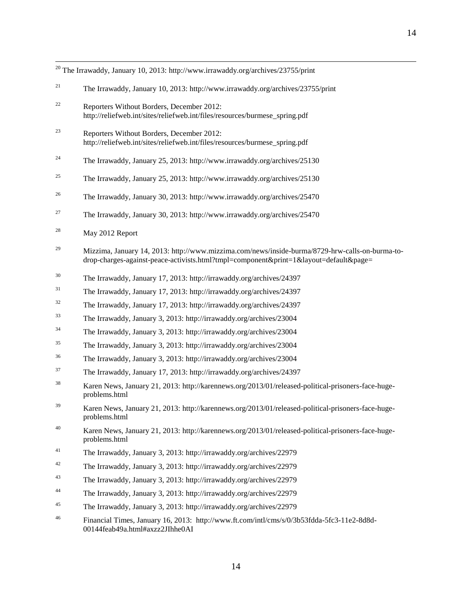|    | $^{20}$ The Irrawaddy, January 10, 2013: http://www.irrawaddy.org/archives/23755/print                                                                                                   |
|----|------------------------------------------------------------------------------------------------------------------------------------------------------------------------------------------|
| 21 | The Irrawaddy, January 10, 2013: http://www.irrawaddy.org/archives/23755/print                                                                                                           |
| 22 | Reporters Without Borders, December 2012:<br>http://reliefweb.int/sites/reliefweb.int/files/resources/burmese_spring.pdf                                                                 |
| 23 | Reporters Without Borders, December 2012:<br>http://reliefweb.int/sites/reliefweb.int/files/resources/burmese_spring.pdf                                                                 |
| 24 | The Irrawaddy, January 25, 2013: http://www.irrawaddy.org/archives/25130                                                                                                                 |
| 25 | The Irrawaddy, January 25, 2013: http://www.irrawaddy.org/archives/25130                                                                                                                 |
| 26 | The Irrawaddy, January 30, 2013: http://www.irrawaddy.org/archives/25470                                                                                                                 |
| 27 | The Irrawaddy, January 30, 2013: http://www.irrawaddy.org/archives/25470                                                                                                                 |
| 28 | May 2012 Report                                                                                                                                                                          |
| 29 | Mizzima, January 14, 2013: http://www.mizzima.com/news/inside-burma/8729-hrw-calls-on-burma-to-<br>drop-charges-against-peace-activists.html?tmpl=component&print=1&layout=default&page= |
| 30 | The Irrawaddy, January 17, 2013: http://irrawaddy.org/archives/24397                                                                                                                     |
| 31 | The Irrawaddy, January 17, 2013: http://irrawaddy.org/archives/24397                                                                                                                     |
| 32 | The Irrawaddy, January 17, 2013: http://irrawaddy.org/archives/24397                                                                                                                     |
| 33 | The Irrawaddy, January 3, 2013: http://irrawaddy.org/archives/23004                                                                                                                      |
| 34 | The Irrawaddy, January 3, 2013: http://irrawaddy.org/archives/23004                                                                                                                      |
| 35 | The Irrawaddy, January 3, 2013: http://irrawaddy.org/archives/23004                                                                                                                      |
| 36 | The Irrawaddy, January 3, 2013: http://irrawaddy.org/archives/23004                                                                                                                      |
| 37 | The Irrawaddy, January 17, 2013: http://irrawaddy.org/archives/24397                                                                                                                     |
| 38 | Karen News, January 21, 2013: http://karennews.org/2013/01/released-political-prisoners-face-huge-<br>problems.html                                                                      |
| 39 | Karen News, January 21, 2013: http://karennews.org/2013/01/released-political-prisoners-face-huge-<br>problems.html                                                                      |
| 40 | Karen News, January 21, 2013: http://karennews.org/2013/01/released-political-prisoners-face-huge-<br>problems.html                                                                      |
| 41 | The Irrawaddy, January 3, 2013: http://irrawaddy.org/archives/22979                                                                                                                      |
| 42 | The Irrawaddy, January 3, 2013: http://irrawaddy.org/archives/22979                                                                                                                      |
| 43 | The Irrawaddy, January 3, 2013: http://irrawaddy.org/archives/22979                                                                                                                      |
| 44 | The Irrawaddy, January 3, 2013: http://irrawaddy.org/archives/22979                                                                                                                      |
| 45 | The Irrawaddy, January 3, 2013: http://irrawaddy.org/archives/22979                                                                                                                      |
| 46 | Financial Times, January 16, 2013: http://www.ft.com/intl/cms/s/0/3b53fdda-5fc3-11e2-8d8d-<br>00144feab49a.html#axzz2JIhhe0AI                                                            |

 $\overline{a}$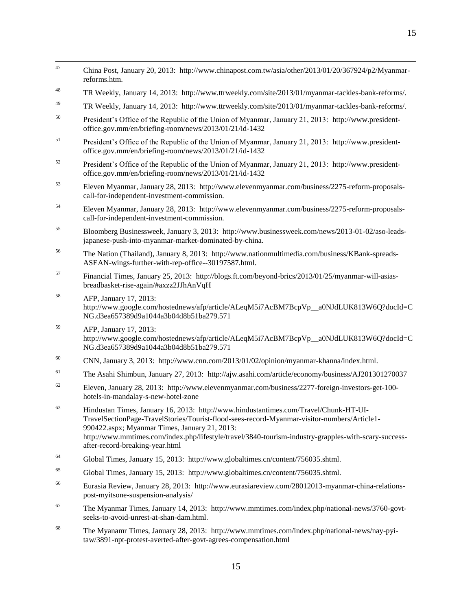| 47 | China Post, January 20, 2013: http://www.chinapost.com.tw/asia/other/2013/01/20/367924/p2/Myanmar-<br>reforms.htm.                                                                                                                                                                                                                                                              |
|----|---------------------------------------------------------------------------------------------------------------------------------------------------------------------------------------------------------------------------------------------------------------------------------------------------------------------------------------------------------------------------------|
| 48 | TR Weekly, January 14, 2013: http://www.ttrweekly.com/site/2013/01/myanmar-tackles-bank-reforms/.                                                                                                                                                                                                                                                                               |
| 49 | TR Weekly, January 14, 2013: http://www.ttrweekly.com/site/2013/01/myanmar-tackles-bank-reforms/.                                                                                                                                                                                                                                                                               |
| 50 | President's Office of the Republic of the Union of Myanmar, January 21, 2013: http://www.president-<br>office.gov.mm/en/briefing-room/news/2013/01/21/id-1432                                                                                                                                                                                                                   |
| 51 | President's Office of the Republic of the Union of Myanmar, January 21, 2013: http://www.president-<br>office.gov.mm/en/briefing-room/news/2013/01/21/id-1432                                                                                                                                                                                                                   |
| 52 | President's Office of the Republic of the Union of Myanmar, January 21, 2013: http://www.president-<br>office.gov.mm/en/briefing-room/news/2013/01/21/id-1432                                                                                                                                                                                                                   |
| 53 | Eleven Myanmar, January 28, 2013: http://www.elevenmyanmar.com/business/2275-reform-proposals-<br>call-for-independent-investment-commission.                                                                                                                                                                                                                                   |
| 54 | Eleven Myanmar, January 28, 2013: http://www.elevenmyanmar.com/business/2275-reform-proposals-<br>call-for-independent-investment-commission.                                                                                                                                                                                                                                   |
| 55 | Bloomberg Businessweek, January 3, 2013: http://www.businessweek.com/news/2013-01-02/aso-leads-<br>japanese-push-into-myanmar-market-dominated-by-china.                                                                                                                                                                                                                        |
| 56 | The Nation (Thailand), January 8, 2013: http://www.nationmultimedia.com/business/KBank-spreads-<br>ASEAN-wings-further-with-rep-office--30197587.html.                                                                                                                                                                                                                          |
| 57 | Financial Times, January 25, 2013: http://blogs.ft.com/beyond-brics/2013/01/25/myanmar-will-asias-<br>breadbasket-rise-again/#axzz2JJhAnVqH                                                                                                                                                                                                                                     |
| 58 | AFP, January 17, 2013:<br>http://www.google.com/hostednews/afp/article/ALeqM5i7AcBM7BcpVp_a0NJdLUK813W6Q?docId=C<br>NG.d3ea657389d9a1044a3b04d8b51ba279.571                                                                                                                                                                                                                     |
| 59 | AFP, January 17, 2013:<br>http://www.google.com/hostednews/afp/article/ALeqM5i7AcBM7BcpVp_a0NJdLUK813W6Q?docId=C<br>NG.d3ea657389d9a1044a3b04d8b51ba279.571                                                                                                                                                                                                                     |
| 60 | CNN, January 3, 2013: http://www.cnn.com/2013/01/02/opinion/myanmar-khanna/index.html.                                                                                                                                                                                                                                                                                          |
| 61 | The Asahi Shimbun, January 27, 2013: http://ajw.asahi.com/article/economy/business/AJ201301270037                                                                                                                                                                                                                                                                               |
| 62 | Eleven, January 28, 2013: http://www.elevenmyanmar.com/business/2277-foreign-investors-get-100-<br>hotels-in-mandalay-s-new-hotel-zone                                                                                                                                                                                                                                          |
| 63 | Hindustan Times, January 16, 2013: http://www.hindustantimes.com/Travel/Chunk-HT-UI-<br>TravelSectionPage-TravelStories/Tourist-flood-sees-record-Myanmar-visitor-numbers/Article1-<br>990422.aspx; Myanmar Times, January 21, 2013:<br>http://www.mmtimes.com/index.php/lifestyle/travel/3840-tourism-industry-grapples-with-scary-success-<br>after-record-breaking-year.html |
| 64 | Global Times, January 15, 2013: http://www.globaltimes.cn/content/756035.shtml.                                                                                                                                                                                                                                                                                                 |
|    |                                                                                                                                                                                                                                                                                                                                                                                 |

 $47$ 

- <sup>65</sup> Global Times, January 15, 2013: [http://www.globaltimes.cn/content/756035.shtml.](http://www.globaltimes.cn/content/756035.shtml)
- <sup>66</sup> Eurasia Review, January 28, 2013: [http://www.eurasiareview.com/28012013-myanmar-china-relations](http://www.eurasiareview.com/28012013-myanmar-china-relations-post-myitsone-suspension-analysis/)[post-myitsone-suspension-analysis/](http://www.eurasiareview.com/28012013-myanmar-china-relations-post-myitsone-suspension-analysis/)
- <sup>67</sup> The Myanmar Times, January 14, 2013: [http://www.mmtimes.com/index.php/national-news/3760-govt](http://www.mmtimes.com/index.php/national-news/3760-govt-seeks-to-avoid-unrest-at-shan-dam.html)[seeks-to-avoid-unrest-at-shan-dam.html.](http://www.mmtimes.com/index.php/national-news/3760-govt-seeks-to-avoid-unrest-at-shan-dam.html)
- <sup>68</sup> The Myanamr Times, January 28, 2013: [http://www.mmtimes.com/index.php/national-news/nay-pyi](http://www.mmtimes.com/index.php/national-news/nay-pyi-taw/3891-npt-protest-averted-after-govt-agrees-compensation.html)[taw/3891-npt-protest-averted-after-govt-agrees-compensation.html](http://www.mmtimes.com/index.php/national-news/nay-pyi-taw/3891-npt-protest-averted-after-govt-agrees-compensation.html)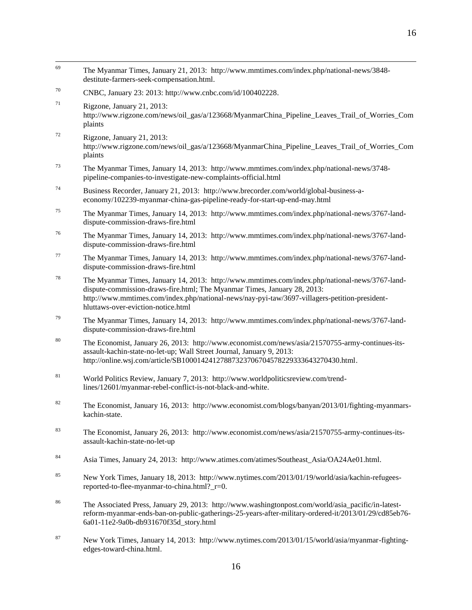- 69 <sup>69</sup> The Myanmar Times, January 21, 2013: [http://www.mmtimes.com/index.php/national-news/3848](http://www.mmtimes.com/index.php/national-news/3848-destitute-farmers-seek-compensation.html) [destitute-farmers-seek-compensation.html.](http://www.mmtimes.com/index.php/national-news/3848-destitute-farmers-seek-compensation.html)  <sup>70</sup> CNBC, January 23: 2013: [http://www.cnbc.com/id/100402228.](http://www.cnbc.com/id/100402228)   $71$  Rigzone, January 21, 2013: [http://www.rigzone.com/news/oil\\_gas/a/123668/MyanmarChina\\_Pipeline\\_Leaves\\_Trail\\_of\\_Worries\\_Com](http://www.rigzone.com/news/oil_gas/a/123668/MyanmarChina_Pipeline_Leaves_Trail_of_Worries_Complaints) [plaints](http://www.rigzone.com/news/oil_gas/a/123668/MyanmarChina_Pipeline_Leaves_Trail_of_Worries_Complaints) <sup>72</sup> Rigzone, January 21, 2013: [http://www.rigzone.com/news/oil\\_gas/a/123668/MyanmarChina\\_Pipeline\\_Leaves\\_Trail\\_of\\_Worries\\_Com](http://www.rigzone.com/news/oil_gas/a/123668/MyanmarChina_Pipeline_Leaves_Trail_of_Worries_Complaints) [plaints](http://www.rigzone.com/news/oil_gas/a/123668/MyanmarChina_Pipeline_Leaves_Trail_of_Worries_Complaints) <sup>73</sup> The Myanmar Times, January 14, 2013: [http://www.mmtimes.com/index.php/national-news/3748](http://www.mmtimes.com/index.php/national-news/3748-pipeline-companies-to-investigate-new-complaints-official.html) [pipeline-companies-to-investigate-new-complaints-official.html](http://www.mmtimes.com/index.php/national-news/3748-pipeline-companies-to-investigate-new-complaints-official.html) <sup>74</sup> Business Recorder, January 21, 2013: [http://www.brecorder.com/world/global-business-a](http://www.brecorder.com/world/global-business-a-economy/102239-myanmar-china-gas-pipeline-ready-for-start-up-end-may.html)[economy/102239-myanmar-china-gas-pipeline-ready-for-start-up-end-may.html](http://www.brecorder.com/world/global-business-a-economy/102239-myanmar-china-gas-pipeline-ready-for-start-up-end-may.html) <sup>75</sup> The Myanmar Times, January 14, 2013: [http://www.mmtimes.com/index.php/national-news/3767-land](http://www.mmtimes.com/index.php/national-news/3767-land-dispute-commission-draws-fire.html)[dispute-commission-draws-fire.html](http://www.mmtimes.com/index.php/national-news/3767-land-dispute-commission-draws-fire.html) <sup>76</sup> The Myanmar Times, January 14, 2013: [http://www.mmtimes.com/index.php/national-news/3767-land](http://www.mmtimes.com/index.php/national-news/3767-land-dispute-commission-draws-fire.html)[dispute-commission-draws-fire.html](http://www.mmtimes.com/index.php/national-news/3767-land-dispute-commission-draws-fire.html) <sup>77</sup> The Myanmar Times, January 14, 2013: [http://www.mmtimes.com/index.php/national-news/3767-land](http://www.mmtimes.com/index.php/national-news/3767-land-dispute-commission-draws-fire.html)[dispute-commission-draws-fire.html](http://www.mmtimes.com/index.php/national-news/3767-land-dispute-commission-draws-fire.html) <sup>78</sup> The Myanmar Times, January 14, 2013: [http://www.mmtimes.com/index.php/national-news/3767-land](http://www.mmtimes.com/index.php/national-news/3767-land-dispute-commission-draws-fire.html)[dispute-commission-draws-fire.html;](http://www.mmtimes.com/index.php/national-news/3767-land-dispute-commission-draws-fire.html) The Myanmar Times, January 28, 2013: [http://www.mmtimes.com/index.php/national-news/nay-pyi-taw/3697-villagers-petition-president](http://www.mmtimes.com/index.php/national-news/nay-pyi-taw/3697-villagers-petition-president-hluttaws-over-eviction-notice.html)[hluttaws-over-eviction-notice.html](http://www.mmtimes.com/index.php/national-news/nay-pyi-taw/3697-villagers-petition-president-hluttaws-over-eviction-notice.html) <sup>79</sup> The Myanmar Times, January 14, 2013: [http://www.mmtimes.com/index.php/national-news/3767-land](http://www.mmtimes.com/index.php/national-news/3767-land-dispute-commission-draws-fire.html)[dispute-commission-draws-fire.html](http://www.mmtimes.com/index.php/national-news/3767-land-dispute-commission-draws-fire.html) <sup>80</sup> The Economist, January 26, 2013: [http://www.economist.com/news/asia/21570755-army-continues-its](http://www.economist.com/news/asia/21570755-army-continues-its-assault-kachin-state-no-let-up)[assault-kachin-state-no-let-up;](http://www.economist.com/news/asia/21570755-army-continues-its-assault-kachin-state-no-let-up) Wall Street Journal, January 9, 2013: [http://online.wsj.com/article/SB10001424127887323706704578229333643270430.html.](http://online.wsj.com/article/SB10001424127887323706704578229333643270430.html) <sup>81</sup> World Politics Review, January 7, 2013: [http://www.worldpoliticsreview.com/trend](http://www.worldpoliticsreview.com/trend-lines/12601/myanmar-rebel-conflict-is-not-black-and-white)[lines/12601/myanmar-rebel-conflict-is-not-black-and-white.](http://www.worldpoliticsreview.com/trend-lines/12601/myanmar-rebel-conflict-is-not-black-and-white) <sup>82</sup> The Economist, January 16, 2013: [http://www.economist.com/blogs/banyan/2013/01/fighting-myanmars](http://www.economist.com/blogs/banyan/2013/01/fighting-myanmars-kachin-state)[kachin-state.](http://www.economist.com/blogs/banyan/2013/01/fighting-myanmars-kachin-state)  <sup>83</sup> The Economist, January 26, 2013: [http://www.economist.com/news/asia/21570755-army-continues-its](http://www.economist.com/news/asia/21570755-army-continues-its-assault-kachin-state-no-let-up)[assault-kachin-state-no-let-up](http://www.economist.com/news/asia/21570755-army-continues-its-assault-kachin-state-no-let-up) 84 Asia Times, January 24, 2013: [http://www.atimes.com/atimes/Southeast\\_Asia/OA24Ae01.html.](http://www.atimes.com/atimes/Southeast_Asia/OA24Ae01.html) <sup>85</sup> New York Times, January 18, 2013: [http://www.nytimes.com/2013/01/19/world/asia/kachin-refugees](http://www.nytimes.com/2013/01/19/world/asia/kachin-refugees-reported-to-flee-myanmar-to-china.html?_r=0)[reported-to-flee-myanmar-to-china.html?\\_r=0.](http://www.nytimes.com/2013/01/19/world/asia/kachin-refugees-reported-to-flee-myanmar-to-china.html?_r=0) <sup>86</sup> The Associated Press, January 29, 2013: [http://www.washingtonpost.com/world/asia\\_pacific/in-latest](http://www.washingtonpost.com/world/asia_pacific/in-latest-reform-myanmar-ends-ban-on-public-gatherings-25-years-after-military-ordered-it/2013/01/29/cd85eb76-6a01-11e2-9a0b-db931670f35d_story.html)[reform-myanmar-ends-ban-on-public-gatherings-25-years-after-military-ordered-it/2013/01/29/cd85eb76-](http://www.washingtonpost.com/world/asia_pacific/in-latest-reform-myanmar-ends-ban-on-public-gatherings-25-years-after-military-ordered-it/2013/01/29/cd85eb76-6a01-11e2-9a0b-db931670f35d_story.html)
- <sup>87</sup> New York Times, January 14, 2013: [http://www.nytimes.com/2013/01/15/world/asia/myanmar-fighting-](http://www.nytimes.com/2013/01/15/world/asia/myanmar-fighting-edges-toward-china.html)

[6a01-11e2-9a0b-db931670f35d\\_story.html](http://www.washingtonpost.com/world/asia_pacific/in-latest-reform-myanmar-ends-ban-on-public-gatherings-25-years-after-military-ordered-it/2013/01/29/cd85eb76-6a01-11e2-9a0b-db931670f35d_story.html)

[edges-toward-china.html.](http://www.nytimes.com/2013/01/15/world/asia/myanmar-fighting-edges-toward-china.html)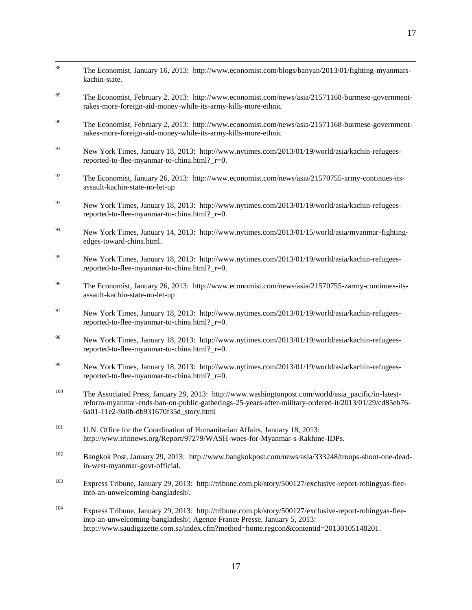| 88  | The Economist, January 16, 2013: http://www.economist.com/blogs/banyan/2013/01/fighting-myanmars-<br>kachin-state.                                                                                                                                                         |
|-----|----------------------------------------------------------------------------------------------------------------------------------------------------------------------------------------------------------------------------------------------------------------------------|
| 89  | The Economist, February 2, 2013: http://www.economist.com/news/asia/21571168-burmese-government-<br>rakes-more-foreign-aid-money-while-its-army-kills-more-ethnic                                                                                                          |
| 90  | The Economist, February 2, 2013: http://www.economist.com/news/asia/21571168-burmese-government-<br>rakes-more-foreign-aid-money-while-its-army-kills-more-ethnic                                                                                                          |
| 91  | New York Times, January 18, 2013: http://www.nytimes.com/2013/01/19/world/asia/kachin-refugees-<br>reported-to-flee-myanmar-to-china.html?_r=0.                                                                                                                            |
| 92  | The Economist, January 26, 2013: http://www.economist.com/news/asia/21570755-army-continues-its-<br>assault-kachin-state-no-let-up                                                                                                                                         |
| 93  | New York Times, January 18, 2013: http://www.nytimes.com/2013/01/19/world/asia/kachin-refugees-<br>reported-to-flee-myanmar-to-china.html?_r=0.                                                                                                                            |
| 94  | New York Times, January 14, 2013: http://www.nytimes.com/2013/01/15/world/asia/myanmar-fighting-<br>edges-toward-china.html.                                                                                                                                               |
| 95  | New York Times, January 18, 2013: http://www.nytimes.com/2013/01/19/world/asia/kachin-refugees-<br>reported-to-flee-myanmar-to-china.html?_r=0.                                                                                                                            |
| 96  | The Economist, January 26, 2013: http://www.economist.com/news/asia/21570755-zarmy-continues-its-<br>assault-kachin-state-no-let-up                                                                                                                                        |
| 97  | New York Times, January 18, 2013: http://www.nytimes.com/2013/01/19/world/asia/kachin-refugees-<br>reported-to-flee-myanmar-to-china.html?_r=0.                                                                                                                            |
| 98  | New York Times, January 18, 2013: http://www.nytimes.com/2013/01/19/world/asia/kachin-refugees-<br>reported-to-flee-myanmar-to-china.html?_r=0.                                                                                                                            |
| 99  | New York Times, January 18, 2013: http://www.nytimes.com/2013/01/19/world/asia/kachin-refugees-<br>reported-to-flee-myanmar-to-china.html?_r=0.                                                                                                                            |
| 100 | The Associated Press, January 29, 2013: http://www.washingtonpost.com/world/asia_pacific/in-latest-<br>reform-myanmar-ends-ban-on-public-gatherings-25-years-after-military-ordered-it/2013/01/29/cd85eb76-<br>6a01-11e2-9a0b-db931670f35d_story.html                      |
| 101 | U.N. Office for the Coordination of Humanitarian Affairs, January 18, 2013:<br>http://www.irinnews.org/Report/97279/WASH-woes-for-Myanmar-s-Rakhine-IDPs.                                                                                                                  |
| 102 | Bangkok Post, January 29, 2013: http://www.bangkokpost.com/news/asia/333248/troops-shoot-one-dead-<br>in-west-myanmar-govt-official.                                                                                                                                       |
| 103 | Express Tribune, January 29, 2013: http://tribune.com.pk/story/500127/exclusive-report-rohingyas-flee-<br>into-an-unwelcoming-bangladesh/.                                                                                                                                 |
| 104 | Express Tribune, January 29, 2013: http://tribune.com.pk/story/500127/exclusive-report-rohingyas-flee-<br>into-an-unwelcoming-bangladesh/; Agence France Presse, January 5, 2013:<br>http://www.saudigazette.com.sa/index.cfm?method=home.regcon&contentid=20130105148201. |

17

17